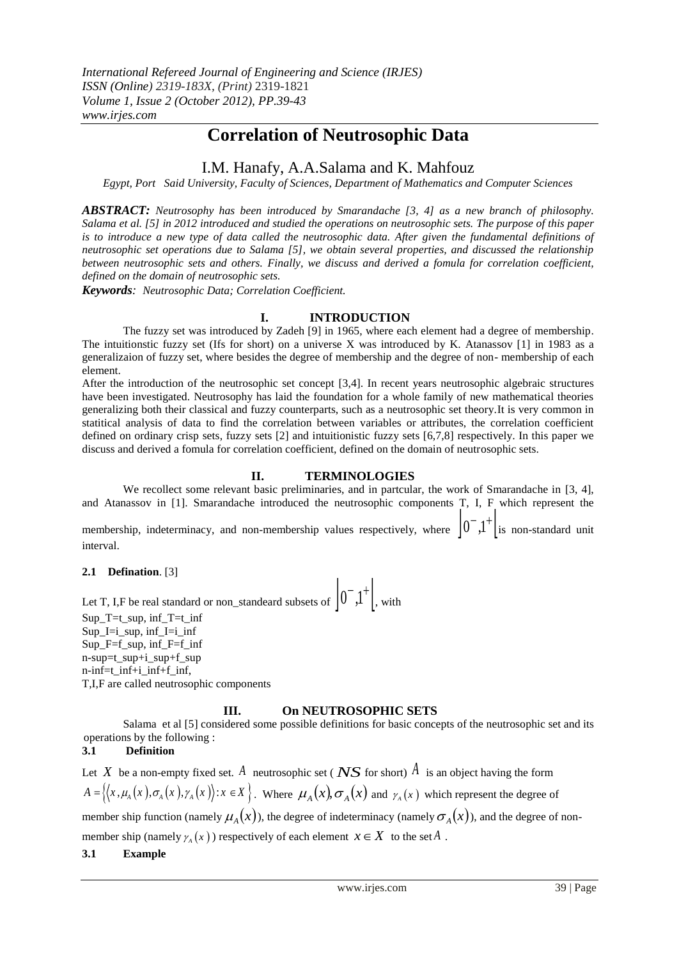# **Correlation of Neutrosophic Data**

# I.M. Hanafy, A.A.Salama and K. Mahfouz

*Egypt, Port Said University, Faculty of Sciences, Department of Mathematics and Computer Sciences*

*ABSTRACT: Neutrosophy has been introduced by Smarandache [3, 4] as a new branch of philosophy. Salama et al. [5] in 2012 introduced and studied the operations on neutrosophic sets. The purpose of this paper is to introduce a new type of data called the neutrosophic data. After given the fundamental definitions of neutrosophic set operations due to Salama [5], we obtain several properties, and discussed the relationship between neutrosophic sets and others. Finally, we discuss and derived a fomula for correlation coefficient, defined on the domain of neutrosophic sets.*

*Keywords: Neutrosophic Data; Correlation Coefficient.*

#### **I. INTRODUCTION**

The fuzzy set was introduced by Zadeh [9] in 1965, where each element had a degree of membership. The intuitionstic fuzzy set (Ifs for short) on a universe X was introduced by K. Atanassov  $\lceil 1 \rceil$  in 1983 as a generalizaion of fuzzy set, where besides the degree of membership and the degree of non- membership of each element.

After the introduction of the neutrosophic set concept [3,4]. In recent years neutrosophic algebraic structures have been investigated. Neutrosophy has laid the foundation for a whole family of new mathematical theories generalizing both their classical and fuzzy counterparts, such as a neutrosophic set theory.It is very common in statitical analysis of data to find the correlation between variables or attributes, the correlation coefficient defined on ordinary crisp sets, fuzzy sets [2] and intuitionistic fuzzy sets [6,7,8] respectively. In this paper we discuss and derived a fomula for correlation coefficient, defined on the domain of neutrosophic sets.

## **II. TERMINOLOGIES**

We recollect some relevant basic preliminaries, and in partcular, the work of Smarandache in [3, 4], and Atanassov in [1]. Smarandache introduced the neutrosophic components T, I, F which represent the

membership, indeterminacy, and non-membership values respectively, where  $\left|0^{-1,1}\right|$  is non-standard unit interval.

#### **2.1 Defination**. [3]

Let T, I,F be real standard or non\_standeard subsets of  $\left[0^-,1^+\right]$ , with Sup  $T=t$  sup, inf  $T=t$  inf Sup  $I=i$  sup, inf  $I=i$  inf Sup  $F=f$  sup, inf  $F=f$  inf n-sup=t\_sup+i\_sup+f\_sup n-inf=t\_inf+i\_inf+f\_inf, T,I,F are called neutrosophic components

#### **III. On NEUTROSOPHIC SETS**

Salama et al [5] considered some possible definitions for basic concepts of the neutrosophic set and its operations by the following :

### **3.1 Definition**

Let  $X$  be a non-empty fixed set.  $A$  neutrosophic set (  $\mathcal{N}S$  for short)  $A$  is an object having the form  $A = \left\{ \left\langle x, \mu_A(x), \sigma_A(x), \gamma_A(x) \right\rangle : x \in X \right\}$ . Where  $\mu_A(x), \sigma_A(x)$  and  $\gamma_A(x)$  which represent the degree of member ship function (namely  $\mu_A(x)$ ), the degree of indeterminacy (namely  $\sigma_A(x)$ ), and the degree of nonmember ship (namely  $\gamma_A(x)$ ) respectively of each element  $x \in X$  to the set A.

#### **3.1 Example**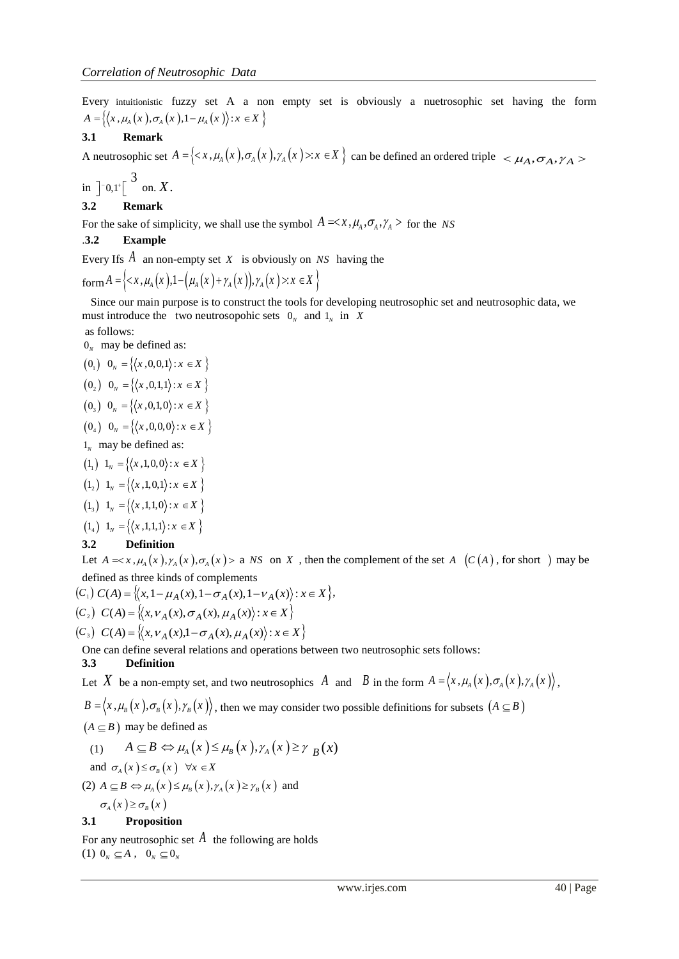Every intuitionistic fuzzy set A a non empty set is obviously a nuetrosophic set having the form  $A = \{ (x, \mu_A(x), \sigma_A(x), 1 - \mu_A(x)) : x \in X \}$ 

#### **3.1 Remark**

A neutrosophic set  $A = \{ \langle x, \mu_A(x), \sigma_A(x), \gamma_A(x) \rangle : x \in X \}$  can be defined an ordered triple  $\langle \mu_A, \sigma_A, \gamma_A \rangle$ 

in  $\left]$ <sup>-</sup>0,1<sup>+</sup> $\left[ \begin{array}{c} 3 \\ 3 \end{array} \right]$  on. X.

# **3.2 Remark**

For the sake of simplicity, we shall use the symbol  $A = \langle x, \mu_A, \sigma_A, \gamma_A \rangle$  for the NS

#### .**3.2 Example**

Every Ifs  $A$  an non-empty set  $X$  is obviously on  $NS$  having the

form  $A = \{ \langle x, \mu_A(x), 1 - (\mu_A(x) + \gamma_A(x)), \gamma_A(x) \rangle : x \in X \}$ 

 Since our main purpose is to construct the tools for developing neutrosophic set and neutrosophic data, we must introduce the two neutrosopohic sets  $0_N$  and  $1_N$  in X

as follows: may be dof-

$$
0_N
$$
 may be defined as:  
(0)  $0 = 1/x$  0.01 $\forall x \in \mathbb{R}$ 

$$
(0_1)
$$
  $0_N = \{(x, 0, 0, 1): x \in X$ 

$$
(0_2) \quad 0_N = \left\{ \left\langle x, 0, 1, 1 \right\rangle : x \in X \right\}
$$

$$
(0_3)
$$
  $0_N = \{(x, 0, 1, 0) : x \in X\}$ 

$$
(0_4)
$$
  $0_N = \{(x, 0, 0, 0) : x \in X\}$ 

 $1_N$  may be defined as:

$$
(11) 1N = {x, 1, 0, 0}: x \in X
$$

$$
(1_2) \ \ 1_N = \{ \langle x, 1, 0, 1 \rangle : x \in X \ \}
$$

$$
(1_3) \ \ 1_N = \{ \langle x, 1, 1, 0 \rangle : x \in X \ \}
$$

$$
(1_4)
$$
  $1_N = \{ (x, 1, 1, 1) : x \in X \}$ 

# **3.2 Definition**

Let  $A = \langle x, \mu_A(x), \gamma_A(x), \sigma_A(x) \rangle$  a *NS* on *X*, then the complement of the set *A*  $(C(A))$ , for short  $(A)$  may be defined as three kinds of complements

 $(C_1) C(A) = \{ (x, 1 - \mu_A(x), 1 - \sigma_A(x), 1 - \nu_A(x)) : x \in X \},$  $(C_2)$   $C(A) = \{ (x, v_A(x), \sigma_A(x), \mu_A(x)) : x \in X \}$  $(C_3)$   $C(A) = \{ (x, v_A(x), 1 - \sigma_A(x), \mu_A(x)) : x \in X \}$ 

One can define several relations and operations between two neutrosophic sets follows:

#### **3.3 Definition**

Let X be a non-empty set, and two neutrosophics A and B in the form  $A = \langle x, \mu_A(x), \sigma_A(x), \gamma_A(x) \rangle$ ,

 $B = \langle x, \mu_B(x), \sigma_B(x), \gamma_B(x) \rangle$ , then we may consider two possible definitions for subsets  $(A \subseteq B)$ 

 $(A \subseteq B)$  may be defined as

(1) 
$$
A \subseteq B \Leftrightarrow \mu_A(x) \le \mu_B(x), \gamma_A(x) \ge \gamma_B(x)
$$

and 
$$
\sigma_A(x) \leq \sigma_B(x) \quad \forall x \in X
$$

$$
(2) A \subseteq B \Leftrightarrow \mu_A(x) \le \mu_B(x), \forall x \in A
$$
  

$$
(2) A \subseteq B \Leftrightarrow \mu_A(x) \le \mu_B(x), \gamma_A(x) \ge \gamma_B(x) \text{ and }
$$

 $\sigma_{A}(x) \geq \sigma_{B}(x)$ 

# **3.1 Proposition**

For any neutrosophic set  $A$  the following are holds  $(1)$   $0_N \subseteq A$ ,  $0_N \subseteq 0_N$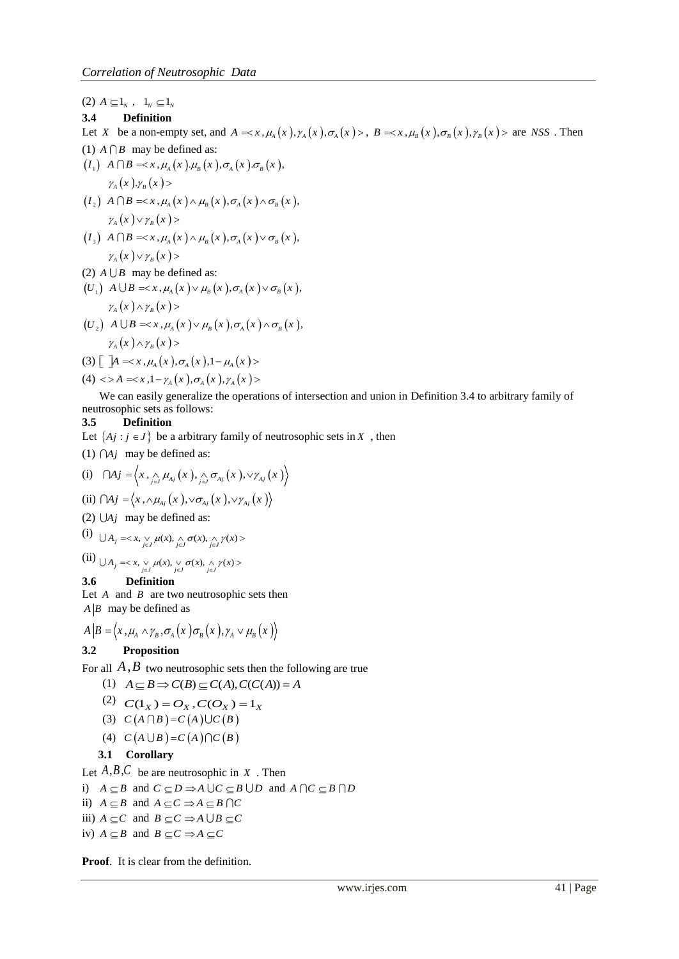$(2)$   $A \subseteq I_N$ ,  $1_N \subseteq I_N$ **3.4 Definition** Let *X* be a non-empty set, and  $A = \langle x, \mu_A(x), \gamma_A(x), \sigma_A(x) \rangle$ ,  $B = \langle x, \mu_B(x), \sigma_B(x), \gamma_B(x) \rangle$  are *NSS*. Then (1)  $A \cap B$  may be defined as: *I A*  $|B|$  may be defined as:<br>  $(I_1)$  *A*  $\bigcap B =$  $\gamma_{A} (x), \gamma_{B} (x)$  $\begin{aligned} I_A(x) \cdot I_B(x) > I_B(x) \\ (I_2) \quad A \cap B &= < x \,, \mu_A(x) \land \mu_B(x) \,, \sigma_A(x) \land \sigma_B(x) \,, \end{aligned}$  $\gamma_{A} (x) \vee \gamma_{B} (x)$  $\gamma_A(x) \vee \gamma_B(x) >$ <br>  $(I_3)$   $A \cap B = ,$  $\gamma_A(x) \vee \gamma_B(x)$ (2)  $A \cup B$  may be defined as:  $(U_1)$  *A*  $\bigcup B = \langle x, \mu_A(x) \vee \mu_B(x), \sigma_A(x) \vee \sigma_B(x) \rangle$  $\gamma_A(x) \wedge \gamma_B(x)$  $(U_2)$   $A \cup B = \langle x, \mu_A(x) \vee \mu_B(x), \sigma_A(x) \wedge \sigma_B(x) \rangle$  $\gamma_A(x) \wedge \gamma_B(x)$ (3)  $\left[\right] A = \langle x, \mu_A(x), \sigma_A(x), 1 - \mu_A(x) \rangle$ (4)  $\langle A \rangle$  =  $\langle A \rangle$  ,  $\langle A \rangle$  ,  $\langle A \rangle$  ,  $\langle A \rangle$  ,  $\langle A \rangle$  ,  $\langle A \rangle$  =  $\langle A \rangle$  +  $\langle A \rangle$  +  $\langle A \rangle$  +  $\langle A \rangle$  +  $\langle A \rangle$  +  $\langle A \rangle$  +  $\langle A \rangle$  +  $\langle A \rangle$  +  $\langle A \rangle$  +  $\langle A \rangle$  +  $\langle A \rangle$  +  $\langle A \rangle$  +  $\langle A \rangle$  +  $\langle A \rangle$  +  $\langle A \rangle$ 

 We can easily generalize the operations of intersection and union in Definition 3.4 to arbitrary family of neutrosophic sets as follows:

#### **3.5 Definition**

Let  $\{Aj : j \in J\}$  be a arbitrary family of neutrosophic sets in X, then

(1) 
$$
\bigcap A_j
$$
 may be defined as:

(i) 
$$
\bigcap A_j = \Big\langle x, \bigwedge_{j \in J} \mu_{A_j}(x), \bigwedge_{j \in J} \sigma_{A_j}(x), \vee \gamma_{A_j}(x) \Big\rangle
$$

(ii) 
$$
\bigcap Aj = \langle x, \wedge \mu_{Aj}(x), \vee \sigma_{Aj}(x), \vee \gamma_{Aj}(x) \rangle
$$

(2)  $\bigcup$ *Aj* may be defined as:

$$
(i) \cup A_j =
$$

 $(iii)$   $\bigcup A_j =$ 

#### **3.6 Definition**

Let  $A$  and  $B$  are two neutrosophic sets then

 $A|B$  may be defined as

$$
A | B = \langle x, \mu_A \wedge \gamma_B, \sigma_A(x) \sigma_B(x), \gamma_A \vee \mu_B(x) \rangle
$$

#### **3.2 Proposition**

For all  $A, B$  two neutrosophic sets then the following are true

- (1)  $A \subseteq B \implies C(B) \subseteq C(A), C(C(A)) = A$
- $C(1_X) = O_X$ ,  $C(O_X) = 1_X$
- (3)  $C(A \cap B) = C(A) \cup C(B)$
- (4)  $C(A \cup B) = C(A) \cap C(B)$

# **3.1 Corollary**

Let  $A, B, C$  be are neutrosophic in X. Then

- i)  $A \subseteq B$  and  $C \subseteq D \implies A \cup C \subseteq B \cup D$  and  $A \cap C \subseteq B \cap D$
- ii)  $A \subseteq B$  and  $A \subseteq C \implies A \subseteq B \cap C$
- iii)  $A \subseteq C$  and  $B \subseteq C \implies A \cup B \subseteq C$

iv) 
$$
A \subseteq B
$$
 and  $B \subseteq C \Rightarrow A \subseteq C$ 

**Proof**. It is clear from the definition.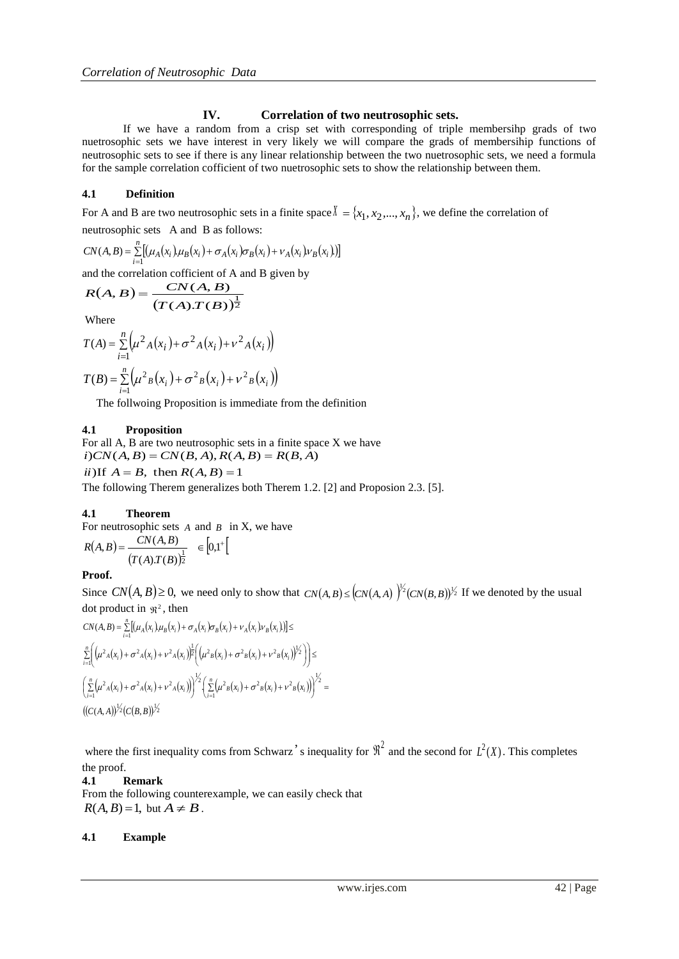#### **IV. Correlation of two neutrosophic sets.**

 If we have a random from a crisp set with corresponding of triple membersihp grads of two nuetrosophic sets we have interest in very likely we will compare the grads of membersihip functions of neutrosophic sets to see if there is any linear relationship between the two nuetrosophic sets, we need a formula for the sample correlation cofficient of two nuetrosophic sets to show the relationship between them.

#### **4.1 Definition**

For A and B are two neutrosophic sets in a finite space  $X = \{x_1, x_2, ..., x_n\}$ , we define the correlation of neutrosophic sets A and B as follows:

$$
CN(A, B) = \sum_{i=1}^{n} [( \mu_A(x_i) \mu_B(x_i) + \sigma_A(x_i) \sigma_B(x_i) + \nu_A(x_i) \nu_B(x_i) )]
$$

and the correlation cofficient of A and B given by<br>  $P(A, B) = \frac{CN(A, B)}{B}$ 

$$
R(A, B) = \frac{CN(A, B)}{(T(A).T(B))^{\frac{1}{2}}}
$$

Where

$$
T(A) = \sum_{i=1}^{n} \left( \mu^{2} A(x_{i}) + \sigma^{2} A(x_{i}) + \nu^{2} A(x_{i}) \right)
$$
  

$$
T(B) = \sum_{i=1}^{n} \left( \mu^{2} B(x_{i}) + \sigma^{2} B(x_{i}) + \nu^{2} B(x_{i}) \right)
$$

The follwoing Proposition is immediate from the definition

#### **4.1 Proposition**

For all A, B are two neutrosophic sets in a finite space X we have  $ii$ ) If  $A = B$ , then  $R(A, B) = 1$  $i) CN(A, B) = CN(B, A), R(A, B) = R(B, A)$ The following Therem generalizes both Therem 1.2. [2] and Proposion 2.3. [5].

#### **4.1 Theorem**

For neutrosophic sets  $A$  and  $B$  in  $X$ , we have

$$
R(A,B) = \frac{CN(A,B)}{(T(A).T(B))\frac{1}{2}} \in [0,1^+]
$$

**Proof.**

Since  $CN(A, B) \ge 0$ , we need only to show that  $CN(A, B) \le (CN(A, A))^{1/2} (CN(B, B))^{1/2}$  If we denoted by the usual dot product in  $\mathfrak{R}^2$ , then

$$
CN(A, B) = \sum_{i=1}^{n} \left[ \left( \mu_A(x_i) \mu_B(x_i) + \sigma_A(x_i) \sigma_B(x_i) + \nu_A(x_i) \nu_B(x_i) \right) \right] \le
$$
  

$$
\sum_{i=1}^{n} \left( \left( \mu^2_A(x_i) + \sigma^2_A(x_i) + \nu^2_A(x_i) \right) \frac{1}{2} \left( \left( \mu^2_B(x_i) + \sigma^2_B(x_i) + \nu^2_B(x_i) \right)^{1/2} \right) \right) \le
$$
  

$$
\left( \sum_{i=1}^{n} \left( \mu^2_A(x_i) + \sigma^2_A(x_i) + \nu^2_A(x_i) \right) \right)^{1/2} \left( \sum_{i=1}^{n} \left( \mu^2_B(x_i) + \sigma^2_B(x_i) + \nu^2_B(x_i) \right) \right)^{1/2} =
$$
  

$$
\left( (C(A, A))^1 / 2 (C(B, B))^1 / 2 \right)
$$

where the first inequality coms from Schwarz's inequality for  $\mathbb{R}^2$  and the second for  $L^2(X)$ . This completes the proof.

#### **4.1 Remark**

From the following counterexample, we can easily check that  $R(A, B) = 1$ , but  $A \neq B$ .

#### **4.1 Example**